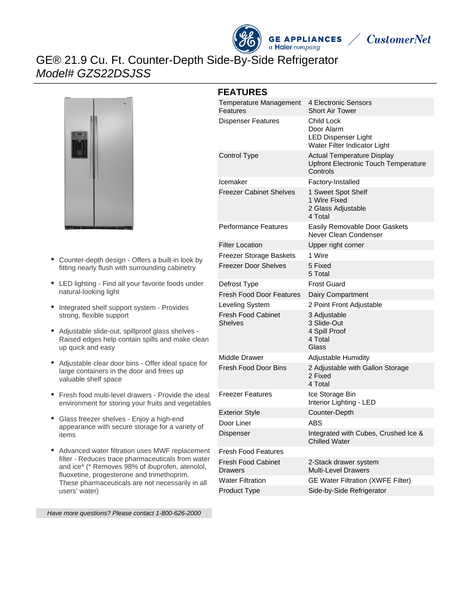



# GE® 21.9 Cu. Ft. Counter-Depth Side-By-Side Refrigerator Model# GZS22DSJSS



- Counter-depth design Offers a built-in look by fitting nearly flush with surrounding cabinetry
- LED lighting Find all your favorite foods under natural-looking light
- Integrated shelf support system Provides strong, flexible support
- Adjustable slide-out, spillproof glass shelves Raised edges help contain spills and make clean up quick and easy
- Adjustable clear door bins Offer ideal space for large containers in the door and frees up valuable shelf space
- Fresh food multi-level drawers Provide the ideal environment for storing your fruits and vegetables
- Glass freezer shelves Enjoy a high-end appearance with secure storage for a variety of items
- Advanced water filtration uses MWF replacement filter - Reduces trace pharmaceuticals from water and ice\* (\* Removes 98% of ibuprofen, atenolol, fluoxetine, progesterone and trimethoprim. These pharmaceuticals are not necessarily in all users' water)

#### **FEATURES**

| Temperature Management<br>Features          | 4 Electronic Sensors<br><b>Short Air Tower</b>                                               |
|---------------------------------------------|----------------------------------------------------------------------------------------------|
| <b>Dispenser Features</b>                   | Child Lock<br>Door Alarm<br><b>LED Dispenser Light</b><br>Water Filter Indicator Light       |
| Control Type                                | <b>Actual Temperature Display</b><br><b>Upfront Electronic Touch Temperature</b><br>Controls |
| Icemaker                                    | Factory-Installed                                                                            |
| Freezer Cabinet Shelves                     | 1 Sweet Spot Shelf<br>1 Wire Fixed<br>2 Glass Adjustable<br>4 Total                          |
| <b>Performance Features</b>                 | Easily Removable Door Gaskets<br>Never Clean Condenser                                       |
| <b>Filter Location</b>                      | Upper right corner                                                                           |
| Freezer Storage Baskets                     | 1 Wire                                                                                       |
| Freezer Door Shelves                        | 5 Fixed<br>5 Total                                                                           |
| Defrost Type                                | <b>Frost Guard</b>                                                                           |
| <b>Fresh Food Door Features</b>             | Dairy Compartment                                                                            |
| Leveling System                             | 2 Point Front Adjustable                                                                     |
| <b>Fresh Food Cabinet</b><br><b>Shelves</b> | 3 Adjustable<br>3 Slide-Out<br>4 Spill Proof<br>4 Total<br>Glass                             |
| <b>Middle Drawer</b>                        | Adjustable Humidity                                                                          |
| Fresh Food Door Bins                        | 2 Adjustable with Gallon Storage<br>2 Fixed<br>4 Total                                       |
| <b>Freezer Features</b>                     | Ice Storage Bin<br>Interior Lighting - LED                                                   |
| <b>Exterior Style</b>                       | Counter-Depth                                                                                |
| Door Liner                                  | ABS                                                                                          |
| Dispenser                                   | Integrated with Cubes, Crushed Ice &<br><b>Chilled Water</b>                                 |
| <b>Fresh Food Features</b>                  |                                                                                              |
| Fresh Food Cabinet<br>Drawers               | 2-Stack drawer system<br><b>Multi-Level Drawers</b>                                          |
| <b>Water Filtration</b>                     | GE Water Filtration (XWFE Filter)                                                            |
| <b>Product Type</b>                         | Side-by-Side Refrigerator                                                                    |

Have more questions? Please contact 1-800-626-2000